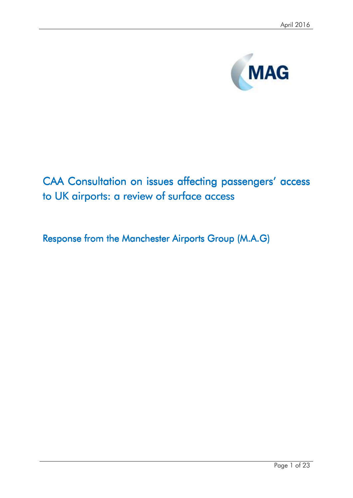

# CAA Consultation on issues affecting passengers' access to UK airports: a review of surface access

Response from the Manchester Airports Group (M.A.G)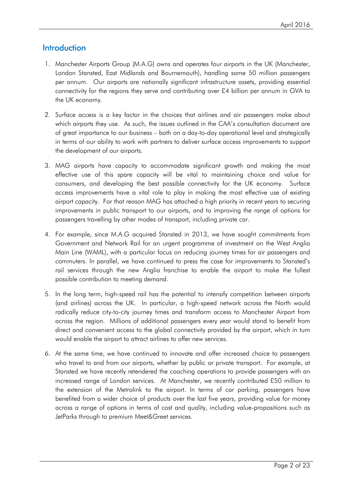# **Introduction**

- 1. Manchester Airports Group (M.A.G) owns and operates four airports in the UK (Manchester, London Stansted, East Midlands and Bournemouth), handling some 50 million passengers per annum. Our airports are nationally significant infrastructure assets, providing essential connectivity for the regions they serve and contributing over £4 billion per annum in GVA to the UK economy.
- 2. Surface access is a key factor in the choices that airlines and air passengers make about which airports they use. As such, the issues outlined in the CAA's consultation document are of great importance to our business – both on a day-to-day operational level and strategically in terms of our ability to work with partners to deliver surface access improvements to support the development of our airports.
- 3. MAG airports have capacity to accommodate significant growth and making the most effective use of this spare capacity will be vital to maintaining choice and value for consumers, and developing the best possible connectivity for the UK economy. Surface access improvements have a vital role to play in making the most effective use of existing airport capacity. For that reason MAG has attached a high priority in recent years to securing improvements in public transport to our airports, and to improving the range of options for passengers travelling by other modes of transport, including private car.
- 4. For example, since M.A.G acquired Stansted in 2013, we have sought commitments from Government and Network Rail for an urgent programme of investment on the West Anglia Main Line (WAML), with a particular focus on reducing journey times for air passengers and commuters. In parallel, we have continued to press the case for improvements to Stansted's rail services through the new Anglia franchise to enable the airport to make the fullest possible contribution to meeting demand.
- 5. In the long term, high-speed rail has the potential to intensify competition between airports (and airlines) across the UK. In particular, a high-speed network across the North would radically reduce city-to-city journey times and transform access to Manchester Airport from across the region. Millions of additional passengers every year would stand to benefit from direct and convenient access to the global connectivity provided by the airport, which in turn would enable the airport to attract airlines to offer new services.
- 6. At the same time, we have continued to innovate and offer increased choice to passengers who travel to and from our airports, whether by public or private transport. For example, at Stansted we have recently retendered the coaching operations to provide passengers with an increased range of London services. At Manchester, we recently contributed £50 million to the extension of the Metrolink to the airport. In terms of car parking, passengers have benefited from a wider choice of products over the last five years, providing value for money across a range of options in terms of cost and quality, including value-propositions such as JetParks through to premium Meet&Greet services.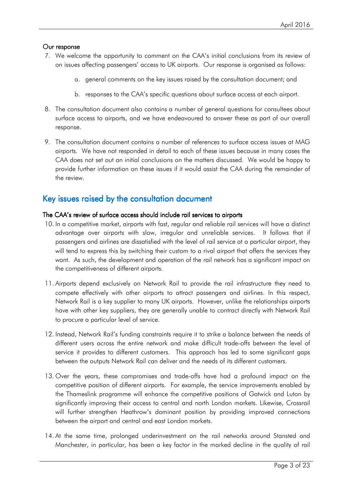### Our response

- 7. We welcome the opportunity to comment on the CAA's initial conclusions from its review of on issues affecting passengers' access to UK airports. Our response is organised as follows:
	- a. general comments on the key issues raised by the consultation document; and
	- b. responses to the CAA's specific questions about surface access at each airport.
- 8. The consultation document also contains a number of general questions for consultees about surface access to airports, and we have endeavoured to answer these as part of our overall response.
- 9. The consultation document contains a number of references to surface access issues at MAG airports. We have not responded in detail to each of these issues because in many cases the CAA does not set out an initial conclusions on the matters discussed. We would be happy to provide further information on these issues if it would assist the CAA during the remainder of the review.

# Key issues raised by the consultation document

### The CAA's review of surface access should include rail services to airports

- 10. In a competitive market, airports with fast, regular and reliable rail services will have a distinct advantage over airports with slow, irregular and unreliable services. It follows that if passengers and airlines are dissatisfied with the level of rail service at a particular airport, they will tend to express this by switching their custom to a rival airport that offers the services they want. As such, the development and operation of the rail network has a significant impact on the competitiveness of different airports.
- 11. Airports depend exclusively on Network Rail to provide the rail infrastructure they need to compete effectively with other airports to attract passengers and airlines. In this respect, Network Rail is a key supplier to many UK airports. However, unlike the relationships airports have with other key suppliers, they are generally unable to contract directly with Network Rail to procure a particular level of service.
- 12. Instead, Network Rail's funding constraints require it to strike a balance between the needs of different users across the entire network and make difficult trade-offs between the level of service it provides to different customers. This approach has led to some significant gaps between the outputs Network Rail can deliver and the needs of its different customers.
- 13. Over the years, these compromises and trade-offs have had a profound impact on the competitive position of different airports. For example, the service improvements enabled by the Thameslink programme will enhance the competitive positions of Gatwick and Luton by significantly improving their access to central and north London markets. Likewise, Crossrail will further strengthen Heathrow's dominant position by providing improved connections between the airport and central and east London markets.
- 14. At the same time, prolonged underinvestment on the rail networks around Stansted and Manchester, in particular, has been a key factor in the marked decline in the quality of rail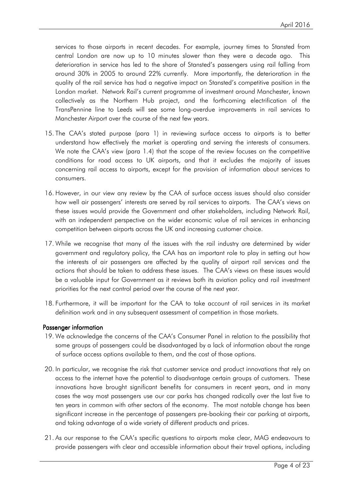services to those airports in recent decades. For example, journey times to Stansted from central London are now up to 10 minutes slower than they were a decade ago. This deterioration in service has led to the share of Stansted's passengers using rail falling from around 30% in 2005 to around 22% currently. More importantly, the deterioration in the quality of the rail service has had a negative impact on Stansted's competitive position in the London market. Network Rail's current programme of investment around Manchester, known collectively as the Northern Hub project, and the forthcoming electrification of the TransPennine line to Leeds will see some long-overdue improvements in rail services to Manchester Airport over the course of the next few years.

- 15. The CAA's stated purpose (para 1) in reviewing surface access to airports is to better understand how effectively the market is operating and serving the interests of consumers. We note the CAA's view (para 1.4) that the scope of the review focuses on the competitive conditions for road access to UK airports, and that it excludes the majority of issues concerning rail access to airports, except for the provision of information about services to consumers.
- 16. However, in our view any review by the CAA of surface access issues should also consider how well air passengers' interests are served by rail services to airports. The CAA's views on these issues would provide the Government and other stakeholders, including Network Rail, with an independent perspective on the wider economic value of rail services in enhancing competition between airports across the UK and increasing customer choice.
- 17. While we recognise that many of the issues with the rail industry are determined by wider government and regulatory policy, the CAA has an important role to play in setting out how the interests of air passengers are affected by the quality of airport rail services and the actions that should be taken to address these issues. The CAA's views on these issues would be a valuable input for Government as it reviews both its aviation policy and rail investment priorities for the next control period over the course of the next year.
- 18. Furthermore, it will be important for the CAA to take account of rail services in its market definition work and in any subsequent assessment of competition in those markets.

### Passenger information

- 19. We acknowledge the concerns of the CAA's Consumer Panel in relation to the possibility that some groups of passengers could be disadvantaged by a lack of information about the range of surface access options available to them, and the cost of those options.
- 20. In particular, we recognise the risk that customer service and product innovations that rely on access to the internet have the potential to disadvantage certain groups of customers. These innovations have brought significant benefits for consumers in recent years, and in many cases the way most passengers use our car parks has changed radically over the last five to ten years in common with other sectors of the economy. The most notable change has been significant increase in the percentage of passengers pre-booking their car parking at airports, and taking advantage of a wide variety of different products and prices.
- 21. As our response to the CAA's specific questions to airports make clear, MAG endeavours to provide passengers with clear and accessible information about their travel options, including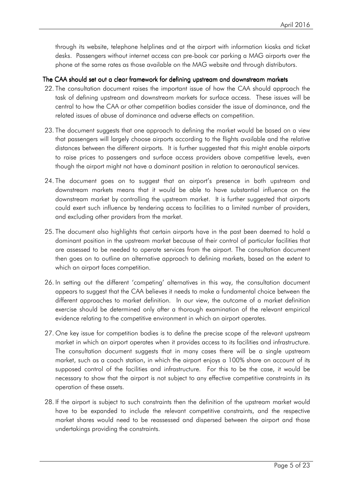through its website, telephone helplines and at the airport with information kiosks and ticket desks. Passengers without internet access can pre-book car parking a MAG airports over the phone at the same rates as those available on the MAG website and through distributors.

### The CAA should set out a clear framework for defining upstream and downstream markets

- 22. The consultation document raises the important issue of how the CAA should approach the task of defining upstream and downstream markets for surface access. These issues will be central to how the CAA or other competition bodies consider the issue of dominance, and the related issues of abuse of dominance and adverse effects on competition.
- 23. The document suggests that one approach to defining the market would be based on a view that passengers will largely choose airports according to the flights available and the relative distances between the different airports. It is further suggested that this might enable airports to raise prices to passengers and surface access providers above competitive levels, even though the airport might not have a dominant position in relation to aeronautical services.
- 24. The document goes on to suggest that an airport's presence in both upstream and downstream markets means that it would be able to have substantial influence on the downstream market by controlling the upstream market. It is further suggested that airports could exert such influence by tendering access to facilities to a limited number of providers, and excluding other providers from the market.
- 25. The document also highlights that certain airports have in the past been deemed to hold a dominant position in the upstream market because of their control of particular facilities that are assessed to be needed to operate services from the airport. The consultation document then goes on to outline an alternative approach to defining markets, based on the extent to which an airport faces competition.
- 26. In setting out the different 'competing' alternatives in this way, the consultation document appears to suggest that the CAA believes it needs to make a fundamental choice between the different approaches to market definition. In our view, the outcome of a market definition exercise should be determined only after a thorough examination of the relevant empirical evidence relating to the competitive environment in which an airport operates.
- 27. One key issue for competition bodies is to define the precise scope of the relevant upstream market in which an airport operates when it provides access to its facilities and infrastructure. The consultation document suggests that in many cases there will be a single upstream market, such as a coach station, in which the airport enjoys a 100% share on account of its supposed control of the facilities and infrastructure. For this to be the case, it would be necessary to show that the airport is not subject to any effective competitive constraints in its operation of these assets.
- 28. If the airport is subject to such constraints then the definition of the upstream market would have to be expanded to include the relevant competitive constraints, and the respective market shares would need to be reassessed and dispersed between the airport and those undertakings providing the constraints.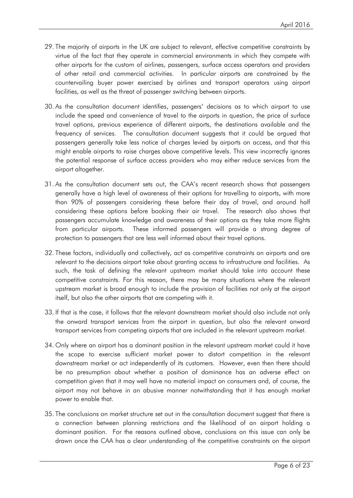- 29. The majority of airports in the UK are subject to relevant, effective competitive constraints by virtue of the fact that they operate in commercial environments in which they compete with other airports for the custom of airlines, passengers, surface access operators and providers of other retail and commercial activities. In particular airports are constrained by the countervailing buyer power exercised by airlines and transport operators using airport facilities, as well as the threat of passenger switching between airports.
- 30. As the consultation document identifies, passengers' decisions as to which airport to use include the speed and convenience of travel to the airports in question, the price of surface travel options, previous experience of different airports, the destinations available and the frequency of services. The consultation document suggests that it could be argued that passengers generally take less notice of charges levied by airports on access, and that this might enable airports to raise charges above competitive levels. This view incorrectly ignores the potential response of surface access providers who may either reduce services from the airport altogether.
- 31. As the consultation document sets out, the CAA's recent research shows that passengers generally have a high level of awareness of their options for travelling to airports, with more than 90% of passengers considering these before their day of travel, and around half considering these options before booking their air travel. The research also shows that passengers accumulate knowledge and awareness of their options as they take more flights from particular airports. These informed passengers will provide a strong degree of protection to passengers that are less well informed about their travel options.
- 32. These factors, individually and collectively, act as competitive constraints on airports and are relevant to the decisions airport take about granting access to infrastructure and facilities. As such, the task of defining the relevant upstream market should take into account these competitive constraints. For this reason, there may be many situations where the relevant upstream market is broad enough to include the provision of facilities not only at the airport itself, but also the other airports that are competing with it.
- 33. If that is the case, it follows that the relevant downstream market should also include not only the onward transport services from the airport in question, but also the relevant onward transport services from competing airports that are included in the relevant upstream market.
- 34. Only where an airport has a dominant position in the relevant upstream market could it have the scope to exercise sufficient market power to distort competition in the relevant downstream market or act independently of its customers. However, even then there should be no presumption about whether a position of dominance has an adverse effect on competition given that it may well have no material impact on consumers and, of course, the airport may not behave in an abusive manner notwithstanding that it has enough market power to enable that.
- 35. The conclusions on market structure set out in the consultation document suggest that there is a connection between planning restrictions and the likelihood of an airport holding a dominant position. For the reasons outlined above, conclusions on this issue can only be drawn once the CAA has a clear understanding of the competitive constraints on the airport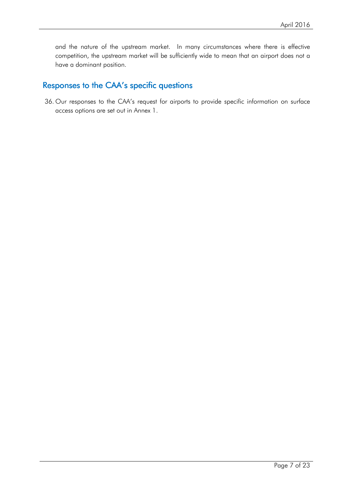and the nature of the upstream market. In many circumstances where there is effective competition, the upstream market will be sufficiently wide to mean that an airport does not a have a dominant position.

# Responses to the CAA's specific questions

36. Our responses to the CAA's request for airports to provide specific information on surface access options are set out in Annex 1.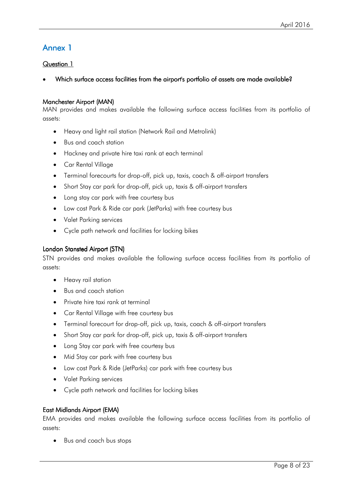# Annex1

# Question 1

Which surface access facilities from the airport's portfolio of assets are made available?

### Manchester Airport (MAN)

MAN provides and makes available the following surface access facilities from its portfolio of assets:

- Heavy and light rail station (Network Rail and Metrolink)
- Bus and coach station
- Hackney and private hire taxi rank at each terminal
- Car Rental Village
- Terminal forecourts for drop-off, pick up, taxis, coach & off-airport transfers
- Short Stay car park for drop-off, pick up, taxis & off-airport transfers
- Long stay car park with free courtesy bus
- Low cost Park & Ride car park (JetParks) with free courtesy bus
- Valet Parking services
- Cycle path network and facilities for locking bikes

### London Stansted Airport (STN)

STN provides and makes available the following surface access facilities from its portfolio of assets:

- Heavy rail station
- Bus and coach station
- Private hire taxi rank at terminal
- Car Rental Village with free courtesy bus
- Terminal forecourt for drop-off, pick up, taxis, coach & off-airport transfers
- Short Stay car park for drop-off, pick up, taxis & off-airport transfers
- Long Stay car park with free courtesy bus
- Mid Stay car park with free courtesy bus
- Low cost Park & Ride (JetParks) car park with free courtesy bus
- Valet Parking services
- Cycle path network and facilities for locking bikes

### East Midlands Airport (EMA)

EMA provides and makes available the following surface access facilities from its portfolio of assets:

• Bus and coach bus stops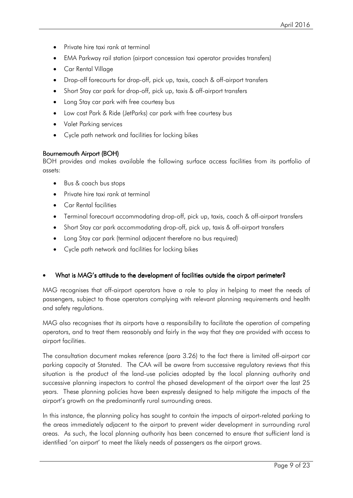- Private hire taxi rank at terminal
- EMA Parkway rail station (airport concession taxi operator provides transfers)
- Car Rental Village
- Drop-off forecourts for drop-off, pick up, taxis, coach & off-airport transfers
- Short Stay car park for drop-off, pick up, taxis & off-airport transfers
- Long Stay car park with free courtesy bus
- Low cost Park & Ride (JetParks) car park with free courtesy bus
- Valet Parking services
- Cycle path network and facilities for locking bikes

### Bournemouth Airport (BOH)

BOH provides and makes available the following surface access facilities from its portfolio of assets:

- Bus & coach bus stops
- Private hire taxi rank at terminal
- Car Rental facilities
- Terminal forecourt accommodating drop-off, pick up, taxis, coach & off-airport transfers
- Short Stay car park accommodating drop-off, pick up, taxis & off-airport transfers
- Long Stay car park (terminal adjacent therefore no bus required)
- Cycle path network and facilities for locking bikes

### What is MAG's attitude to the development of facilities outside the airport perimeter?

MAG recognises that off-airport operators have a role to play in helping to meet the needs of passengers, subject to those operators complying with relevant planning requirements and health and safety regulations.

MAG also recognises that its airports have a responsibility to facilitate the operation of competing operators, and to treat them reasonably and fairly in the way that they are provided with access to airport facilities.

The consultation document makes reference (para 3.26) to the fact there is limited off-airport car parking capacity at Stansted. The CAA will be aware from successive regulatory reviews that this situation is the product of the land-use policies adopted by the local planning authority and successive planning inspectors to control the phased development of the airport over the last 25 years. These planning policies have been expressly designed to help mitigate the impacts of the airport's growth on the predominantly rural surrounding areas.

In this instance, the planning policy has sought to contain the impacts of airport-related parking to the areas immediately adjacent to the airport to prevent wider development in surrounding rural areas. As such, the local planning authority has been concerned to ensure that sufficient land is identified 'on airport' to meet the likely needs of passengers as the airport grows.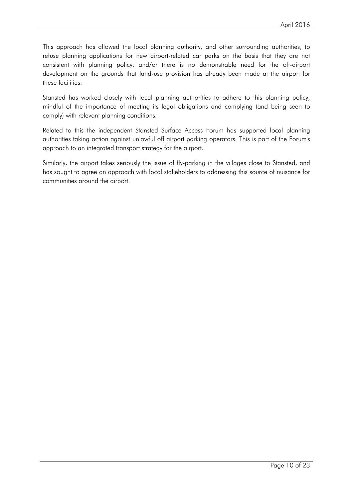This approach has allowed the local planning authority, and other surrounding authorities, to refuse planning applications for new airport-related car parks on the basis that they are not consistent with planning policy, and/or there is no demonstrable need for the off-airport development on the grounds that land-use provision has already been made at the airport for these facilities.

Stansted has worked closely with local planning authorities to adhere to this planning policy, mindful of the importance of meeting its legal obligations and complying (and being seen to comply) with relevant planning conditions.

Related to this the independent Stansted Surface Access Forum has supported local planning authorities taking action against unlawful off airport parking operators. This is part of the Forum's approach to an integrated transport strategy for the airport.

Similarly, the airport takes seriously the issue of fly-parking in the villages close to Stansted, and has sought to agree an approach with local stakeholders to addressing this source of nuisance for communities around the airport.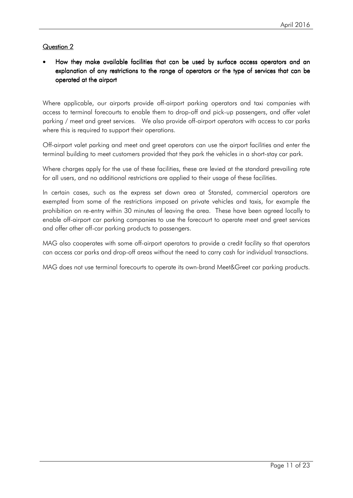# How they make available facilities that can be used by surface access operators and an explanation of any restrictions to the range of operators or the type of services that can be operated at the airport

Where applicable, our airports provide off-airport parking operators and taxi companies with access to terminal forecourts to enable them to drop-off and pick-up passengers, and offer valet parking / meet and greet services. We also provide off-airport operators with access to car parks where this is required to support their operations.

Off-airport valet parking and meet and greet operators can use the airport facilities and enter the terminal building to meet customers provided that they park the vehicles in a short-stay car park.

Where charges apply for the use of these facilities, these are levied at the standard prevailing rate for all users, and no additional restrictions are applied to their usage of these facilities.

In certain cases, such as the express set down area at Stansted, commercial operators are exempted from some of the restrictions imposed on private vehicles and taxis, for example the prohibition on re-entry within 30 minutes of leaving the area. These have been agreed locally to enable off-airport car parking companies to use the forecourt to operate meet and greet services and offer other off-car parking products to passengers.

MAG also cooperates with some off-airport operators to provide a credit facility so that operators can access car parks and drop-off areas without the need to carry cash for individual transactions.

MAG does not use terminal forecourts to operate its own-brand Meet&Greet car parking products.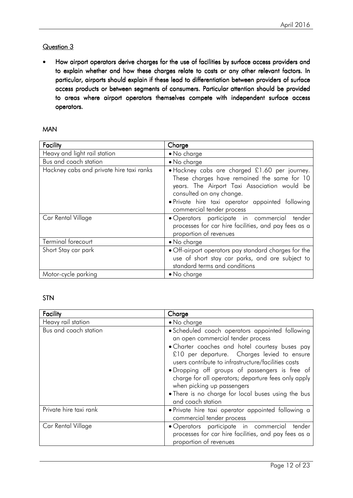How airport operators derive charges for the use of facilities by surface access providers and to explain whether and how these charges relate to costs or any other relevant factors. In particular, airports should explain if these lead to differentiation between providers of surface access products or between segments of consumers. Particular attention should be provided to areas where airport operators themselves compete with independent surface access operators.

### MAN

| Facility                                 | Charge                                                                                                                                                                                                                                                    |
|------------------------------------------|-----------------------------------------------------------------------------------------------------------------------------------------------------------------------------------------------------------------------------------------------------------|
| Heavy and light rail station             | • No charge                                                                                                                                                                                                                                               |
| Bus and coach station                    | • No charge                                                                                                                                                                                                                                               |
| Hackney cabs and private hire taxi ranks | · Hackney cabs are charged £1.60 per journey.<br>These charges have remained the same for 10<br>years. The Airport Taxi Association would be<br>consulted on any change.<br>· Private hire taxi operator appointed following<br>commercial tender process |
| Car Rental Village                       | · Operators participate in commercial tender<br>processes for car hire facilities, and pay fees as a<br>proportion of revenues                                                                                                                            |
| Terminal forecourt                       | • No charge                                                                                                                                                                                                                                               |
| Short Stay car park                      | • Off-airport operators pay standard charges for the<br>use of short stay car parks, and are subject to<br>standard terms and conditions                                                                                                                  |
| Motor-cycle parking                      | $\bullet$ No charge                                                                                                                                                                                                                                       |

#### STN

| Facility               | Charge                                                                                                                                                                                                                                                                                                                                                                                                                                                         |
|------------------------|----------------------------------------------------------------------------------------------------------------------------------------------------------------------------------------------------------------------------------------------------------------------------------------------------------------------------------------------------------------------------------------------------------------------------------------------------------------|
| Heavy rail station     | • No charge                                                                                                                                                                                                                                                                                                                                                                                                                                                    |
| Bus and coach station  | · Scheduled coach operators appointed following<br>an open commercial tender process<br>• Charter coaches and hotel courtesy buses pay<br>£10 per departure. Charges levied to ensure<br>users contribute to infrastructure/facilities costs<br>• Dropping off groups of passengers is free of<br>charge for all operators; departure fees only apply<br>when picking up passengers<br>• There is no charge for local buses using the bus<br>and coach station |
| Private hire taxi rank | • Private hire taxi operator appointed following a<br>commercial tender process                                                                                                                                                                                                                                                                                                                                                                                |
| Car Rental Village     | · Operators participate in commercial<br>tender<br>processes for car hire facilities, and pay fees as a<br>proportion of revenues                                                                                                                                                                                                                                                                                                                              |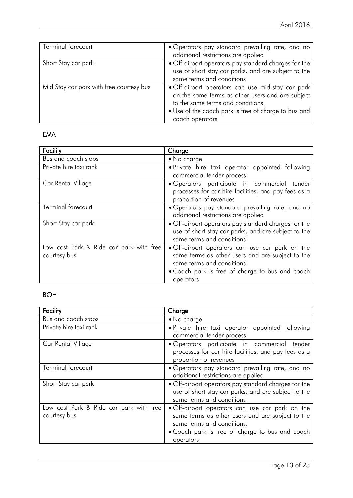| Terminal forecourt                       | • Operators pay standard prevailing rate, and no<br>additional restrictions are applied                                                                                                                               |  |  |
|------------------------------------------|-----------------------------------------------------------------------------------------------------------------------------------------------------------------------------------------------------------------------|--|--|
| Short Stay car park                      | . Off-airport operators pay standard charges for the<br>use of short stay car parks, and are subject to the<br>same terms and conditions                                                                              |  |  |
| Mid Stay car park with free courtesy bus | · Off-airport operators can use mid-stay car park<br>on the same terms as other users and are subject<br>to the same terms and conditions.<br>• Use of the coach park is free of charge to bus and<br>coach operators |  |  |

# EMA

| Facility                                                | Charge                                                                                                                                                                                            |  |  |
|---------------------------------------------------------|---------------------------------------------------------------------------------------------------------------------------------------------------------------------------------------------------|--|--|
| Bus and coach stops                                     | • No charge                                                                                                                                                                                       |  |  |
| Private hire taxi rank                                  | • Private hire taxi operator appointed following<br>commercial tender process                                                                                                                     |  |  |
| Car Rental Village                                      | · Operators participate in commercial tender<br>processes for car hire facilities, and pay fees as a<br>proportion of revenues                                                                    |  |  |
| Terminal forecourt                                      | • Operators pay standard prevailing rate, and no<br>additional restrictions are applied                                                                                                           |  |  |
| Short Stay car park                                     | • Off-airport operators pay standard charges for the<br>use of short stay car parks, and are subject to the<br>same terms and conditions                                                          |  |  |
| Low cost Park & Ride car park with free<br>courtesy bus | • Off-airport operators can use car park on the<br>same terms as other users and are subject to the<br>same terms and conditions.<br>• Coach park is free of charge to bus and coach<br>operators |  |  |

# BOH

| Facility                                                | Charge                                                                                                                                                                                            |
|---------------------------------------------------------|---------------------------------------------------------------------------------------------------------------------------------------------------------------------------------------------------|
| Bus and coach stops                                     | • No charge                                                                                                                                                                                       |
| Private hire taxi rank                                  | • Private hire taxi operator appointed following<br>commercial tender process                                                                                                                     |
| Car Rental Village                                      | · Operators participate in commercial<br>tender<br>processes for car hire facilities, and pay fees as a<br>proportion of revenues                                                                 |
| Terminal forecourt                                      | • Operators pay standard prevailing rate, and no<br>additional restrictions are applied                                                                                                           |
| Short Stay car park                                     | . Off-airport operators pay standard charges for the<br>use of short stay car parks, and are subject to the<br>same terms and conditions                                                          |
| Low cost Park & Ride car park with free<br>courtesy bus | • Off-airport operators can use car park on the<br>same terms as other users and are subject to the<br>same terms and conditions.<br>• Coach park is free of charge to bus and coach<br>operators |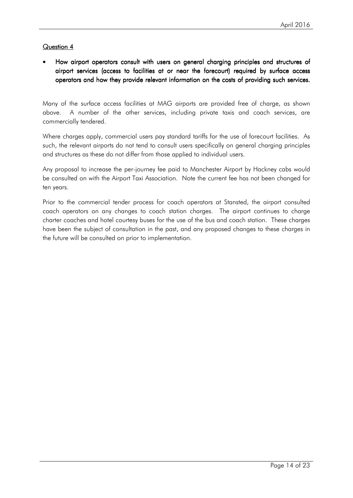How airport operators consult with users on general charging principles and structures of airport services (access to facilities at or near the forecourt) required by surface access operators and how they provide relevant information on the costs of providing such services.

Many of the surface access facilities at MAG airports are provided free of charge, as shown above. A number of the other services, including private taxis and coach services, are commercially tendered.

Where charges apply, commercial users pay standard tariffs for the use of forecourt facilities. As such, the relevant airports do not tend to consult users specifically on general charging principles and structures as these do not differ from those applied to individual users.

Any proposal to increase the per-journey fee paid to Manchester Airport by Hackney cabs would be consulted on with the Airport Taxi Association. Note the current fee has not been changed for ten years.

Prior to the commercial tender process for coach operators at Stansted, the airport consulted coach operators on any changes to coach station charges. The airport continues to charge charter coaches and hotel courtesy buses for the use of the bus and coach station. These charges have been the subject of consultation in the past, and any proposed changes to these charges in the future will be consulted on prior to implementation.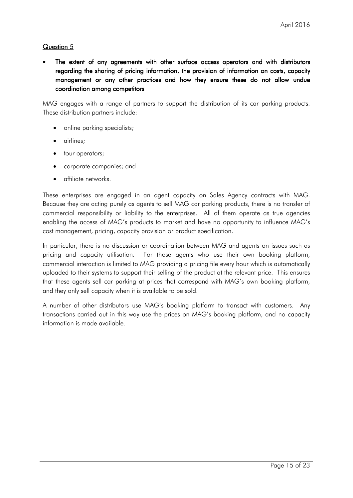# Question<sub>5</sub>

The extent of any agreements with other surface access operators and with distributors regarding the sharing of pricing information, the provision of information on costs, capacity management or any other practices and how they ensure these do not allow undue coordination among competitors

MAG engages with a range of partners to support the distribution of its car parking products. These distribution partners include:

- online parking specialists;
- airlines;
- tour operators;
- corporate companies; and
- affiliate networks.

These enterprises are engaged in an agent capacity on Sales Agency contracts with MAG. Because they are acting purely as agents to sell MAG car parking products, there is no transfer of commercial responsibility or liability to the enterprises. All of them operate as true agencies enabling the access of MAG's products to market and have no opportunity to influence MAG's cost management, pricing, capacity provision or product specification.

In particular, there is no discussion or coordination between MAG and agents on issues such as pricing and capacity utilisation. For those agents who use their own booking platform, commercial interaction is limited to MAG providing a pricing file every hour which is automatically uploaded to their systems to support their selling of the product at the relevant price. This ensures that these agents sell car parking at prices that correspond with MAG's own booking platform, and they only sell capacity when it is available to be sold.

A number of other distributors use MAG's booking platform to transact with customers. Any transactions carried out in this way use the prices on MAG's booking platform, and no capacity information is made available.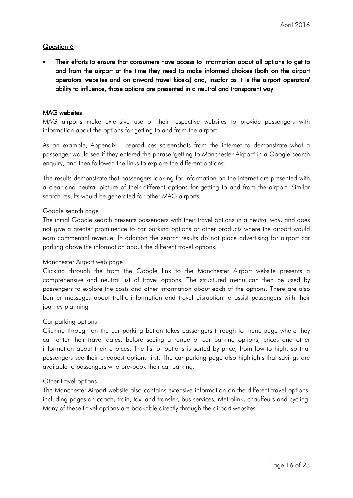Their efforts to ensure that consumers have access to information about all options to get to and from the airport at the time they need to make informed choices (both on the airport operators' websites and on onward travel kiosks) and, insofar as it is the airport operators' ability to influence, those options are presented in a neutral and transparent way

### MAG websites

MAG airports make extensive use of their respective websites to provide passengers with information about the options for getting to and from the airport.

As an example, Appendix 1 reproduces screenshots from the internet to demonstrate what a passenger would see if they entered the phrase 'getting to Manchester Airport' in a Google search enquiry, and then followed the links to explore the different options.

The results demonstrate that passengers looking for information on the internet are presented with a clear and neutral picture of their different options for getting to and from the airport. Similar search results would be generated for other MAG airports.

### Google search page

The initial Google search presents passengers with their travel options in a neutral way, and does not give a greater prominence to car parking options or other products where the airport would earn commercial revenue. In addition the search results do not place advertising for airport car parking above the information about the different travel options.

#### Manchester Airport web page

Clicking through the from the Google link to the Manchester Airport website presents a comprehensive and neutral list of travel options. The structured menu can then be used by passengers to explore the costs and other information about each of the options. There are also banner messages about traffic information and travel disruption to assist passengers with their journey planning.

#### Car parking options

Clicking through on the car parking button takes passengers through to menu page where they can enter their travel dates, before seeing a range of car parking options, prices and other information about their choices. The list of options is sorted by price, from low to high, so that passengers see their cheapest options first. The car parking page also highlights that savings are available to passengers who pre-book their car parking.

#### Other travel options

The Manchester Airport website also contains extensive information on the different travel options, including pages on coach, train, taxi and transfer, bus services, Metrolink, chauffeurs and cycling. Many of these travel options are bookable directly through the airport websites.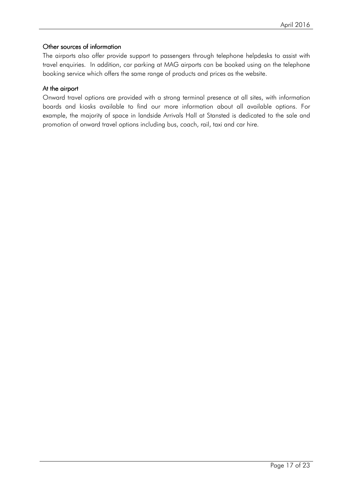### Other sources of information

The airports also offer provide support to passengers through telephone helpdesks to assist with travel enquiries. In addition, car parking at MAG airports can be booked using on the telephone booking service which offers the same range of products and prices as the website.

### At the airport

Onward travel options are provided with a strong terminal presence at all sites, with information boards and kiosks available to find our more information about all available options. For example, the majority of space in landside Arrivals Hall at Stansted is dedicated to the sale and promotion of onward travel options including bus, coach, rail, taxi and car hire.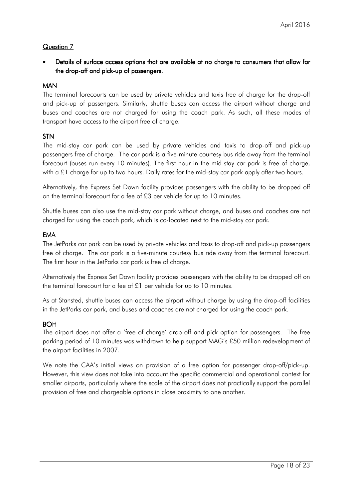Details of surface access options that are available at no charge to consumers that allow for the drop-off and pick-up of passengers.

# MAN

The terminal forecourts can be used by private vehicles and taxis free of charge for the drop-off and pick-up of passengers. Similarly, shuttle buses can access the airport without charge and buses and coaches are not charged for using the coach park. As such, all these modes of transport have access to the airport free of charge.

# **STN**

The mid-stay car park can be used by private vehicles and taxis to drop-off and pick-up passengers free of charge. The car park is a five-minute courtesy bus ride away from the terminal forecourt (buses run every 10 minutes). The first hour in the mid-stay car park is free of charge, with a £1 charge for up to two hours. Daily rates for the mid-stay car park apply after two hours.

Alternatively, the Express Set Down facility provides passengers with the ability to be dropped off on the terminal forecourt for a fee of £3 per vehicle for up to 10 minutes.

Shuttle buses can also use the mid-stay car park without charge, and buses and coaches are not charged for using the coach park, which is co-located next to the mid-stay car park.

# EMA

The JetParks car park can be used by private vehicles and taxis to drop-off and pick-up passengers free of charge. The car park is a five-minute courtesy bus ride away from the terminal forecourt. The first hour in the JetParks car park is free of charge.

Alternatively the Express Set Down facility provides passengers with the ability to be dropped off on the terminal forecourt for a fee of £1 per vehicle for up to 10 minutes.

As at Stansted, shuttle buses can access the airport without charge by using the drop-off facilities in the JetParks car park, and buses and coaches are not charged for using the coach park.

# **BOH**

The airport does not offer a 'free of charge' drop-off and pick option for passengers. The free parking period of 10 minutes was withdrawn to help support MAG's £50 million redevelopment of the airport facilities in 2007.

We note the CAA's initial views on provision of a free option for passenger drop-off/pick-up. However, this view does not take into account the specific commercial and operational context for smaller airports, particularly where the scale of the airport does not practically support the parallel provision of free and chargeable options in close proximity to one another.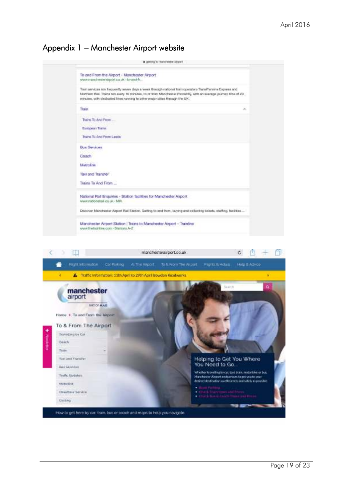# Appendix 1 – Manchester Airport website



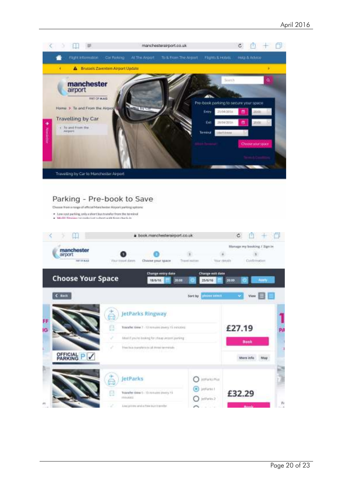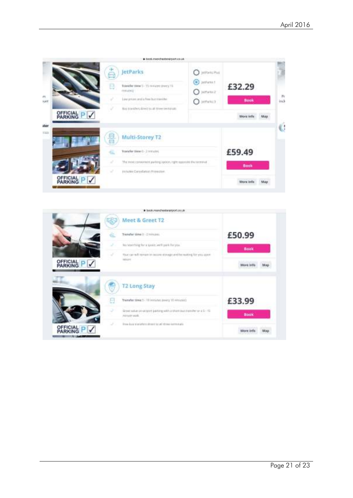|          |                                  |        | · DOOR SWINSTRESS WITH A CO.UR.                                     |                                             |             |                       |
|----------|----------------------------------|--------|---------------------------------------------------------------------|---------------------------------------------|-------------|-----------------------|
|          |                                  | ⊟<br>B | <b>JetParks</b><br>Transfer time 5 - 15 minutes (every 15<br>mmahil | JetParks Plvs<br>JetFetts 1<br>Θ<br>3989562 | £32.29      |                       |
| m<br>NAM |                                  |        | Line prices and a foot but transition                               | $O$ infinite)                               | <b>Book</b> | $\mathcal{D}$<br>inch |
|          |                                  |        | Buy payafers down to all time texturals.                            |                                             |             |                       |
|          | OFFICIAL P /                     |        |                                                                     |                                             | More infu   |                       |
| uter     |                                  |        |                                                                     |                                             |             | Ġ                     |
| 7.443    |                                  | 뵵      | Multi-Storey T2                                                     |                                             |             |                       |
|          |                                  |        | Transfer Nove 0 - 3 minutes.                                        |                                             | £59.49      |                       |
|          |                                  |        | The most convenient parking opport, right nutriented the terminal   |                                             | <b>Book</b> |                       |
|          |                                  | u      | Includes Consultation (Widestries)                                  |                                             |             |                       |
|          | <b>OFFICIAL</b><br>PARKING<br>PV |        |                                                                     |                                             | More infa   |                       |

|                                 | # book.manchestaranport.co.uk                                                           |             |
|---------------------------------|-----------------------------------------------------------------------------------------|-------------|
|                                 | Meet & Greet T2<br>US)                                                                  |             |
|                                 | Transfer time 0 - 2 intrusts.                                                           | £50.99      |
|                                 | No searching for a typics well park for you.                                            | <b>Book</b> |
| <b>OFFICIAL</b><br>PARKING<br>✓ | Your car will inmum in recone stonage until be working for you upon-<br><b>LETS ETT</b> |             |
|                                 | <b>T2 Long Stay</b>                                                                     |             |
|                                 | Transfer time 5-10 remates prony 10 remately.<br>u                                      | £33.99      |
|                                 | Byset wike produced parting with a thombus transfer or a 1 - 15<br><b>PERMIT MAR</b>    | <b>Book</b> |
|                                 | These business served by all reserves and the serve and served and<br>s                 |             |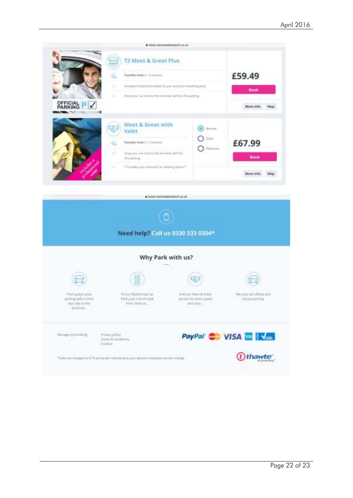